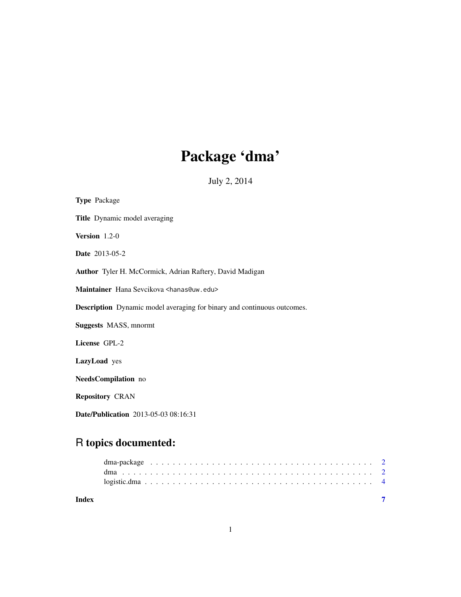# Package 'dma'

July 2, 2014

| <b>Type Package</b>                                                            |
|--------------------------------------------------------------------------------|
| Title Dynamic model averaging                                                  |
| Version $1.2-0$                                                                |
| <b>Date</b> 2013-05-2                                                          |
| Author Tyler H. McCormick, Adrian Raftery, David Madigan                       |
| Maintainer Hana Sevcikova <hanas@uw.edu></hanas@uw.edu>                        |
| <b>Description</b> Dynamic model averaging for binary and continuous outcomes. |
| <b>Suggests MASS</b> , mnormt                                                  |
| License GPL-2                                                                  |
| LazyLoad yes                                                                   |
| NeedsCompilation no                                                            |
| <b>Repository CRAN</b>                                                         |
| Date/Publication 2013-05-03 08:16:31                                           |

# R topics documented:

| Index |  |  |  |  |  |  |  |  |  |  |  |  |  |  |  |  |  |  |  |
|-------|--|--|--|--|--|--|--|--|--|--|--|--|--|--|--|--|--|--|--|
|       |  |  |  |  |  |  |  |  |  |  |  |  |  |  |  |  |  |  |  |
|       |  |  |  |  |  |  |  |  |  |  |  |  |  |  |  |  |  |  |  |
|       |  |  |  |  |  |  |  |  |  |  |  |  |  |  |  |  |  |  |  |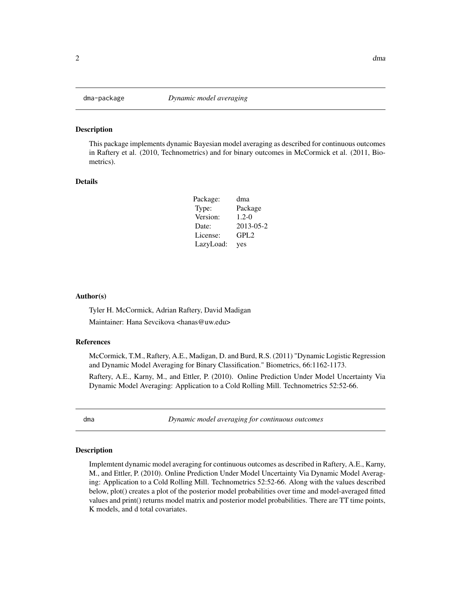<span id="page-1-0"></span>

#### Description

This package implements dynamic Bayesian model averaging as described for continuous outcomes in Raftery et al. (2010, Technometrics) and for binary outcomes in McCormick et al. (2011, Biometrics).

#### Details

| Package:  | dma       |
|-----------|-----------|
| Type:     | Package   |
| Version:  | $1.2 - 0$ |
| Date:     | 2013-05-2 |
| License:  | GPL2      |
| LazyLoad: | yes       |

#### Author(s)

Tyler H. McCormick, Adrian Raftery, David Madigan Maintainer: Hana Sevcikova <hanas@uw.edu>

#### References

McCormick, T.M., Raftery, A.E., Madigan, D. and Burd, R.S. (2011) "Dynamic Logistic Regression and Dynamic Model Averaging for Binary Classification." Biometrics, 66:1162-1173.

Raftery, A.E., Karny, M., and Ettler, P. (2010). Online Prediction Under Model Uncertainty Via Dynamic Model Averaging: Application to a Cold Rolling Mill. Technometrics 52:52-66.

dma *Dynamic model averaging for continuous outcomes*

#### Description

Implemtent dynamic model averaging for continuous outcomes as described in Raftery, A.E., Karny, M., and Ettler, P. (2010). Online Prediction Under Model Uncertainty Via Dynamic Model Averaging: Application to a Cold Rolling Mill. Technometrics 52:52-66. Along with the values described below, plot() creates a plot of the posterior model probabilities over time and model-averaged fitted values and print() returns model matrix and posterior model probabilities. There are TT time points, K models, and d total covariates.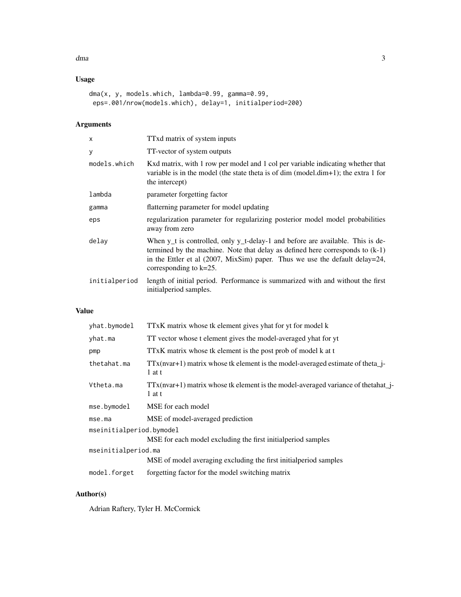#### dma 3

# Usage

```
dma(x, y, models.which, lambda=0.99, gamma=0.99,
eps=.001/nrow(models.which), delay=1, initialperiod=200)
```
# Arguments

| $\times$      | TTxd matrix of system inputs                                                                                                                                                                                                                                                                |
|---------------|---------------------------------------------------------------------------------------------------------------------------------------------------------------------------------------------------------------------------------------------------------------------------------------------|
| У             | TT-vector of system outputs                                                                                                                                                                                                                                                                 |
| models.which  | Kxd matrix, with 1 row per model and 1 col per variable indicating whether that<br>variable is in the model (the state theta is of dim (model.dim+1); the extra 1 for<br>the intercept)                                                                                                     |
| lambda        | parameter forgetting factor                                                                                                                                                                                                                                                                 |
| gamma         | flatterning parameter for model updating                                                                                                                                                                                                                                                    |
| eps           | regularization parameter for regularizing posterior model model probabilities<br>away from zero                                                                                                                                                                                             |
| delay         | When y <sub>_t</sub> is controlled, only y_t-delay-1 and before are available. This is de-<br>termined by the machine. Note that delay as defined here corresponds to $(k-1)$<br>in the Ettler et al $(2007, MixSim)$ paper. Thus we use the default delay=24,<br>corresponding to $k=25$ . |
| initialperiod | length of initial period. Performance is summarized with and without the first<br>initialperiod samples.                                                                                                                                                                                    |

# Value

| yhat.bymodel             | TTxK matrix whose tk element gives yhat for yt for model k                                  |
|--------------------------|---------------------------------------------------------------------------------------------|
| yhat.ma                  | TT vector whose t element gives the model-averaged yhat for yt                              |
| pmp                      | TTxK matrix whose tk element is the post prob of model k at t                               |
| thetahat.ma              | $TTx(nvar+1)$ matrix whose tk element is the model-averaged estimate of theta_j-<br>1 at t  |
| Vtheta.ma                | $TTx(nvar+1)$ matrix whose tk element is the model-averaged variance of the tahat<br>1 at t |
| mse.bymodel              | MSE for each model                                                                          |
| mse.ma                   | MSE of model-averaged prediction                                                            |
| mseinitialperiod.bymodel |                                                                                             |
|                          | MSE for each model excluding the first initial period samples                               |
| mseinitialperiod.ma      |                                                                                             |
|                          | MSE of model averaging excluding the first initial period samples                           |
| model.forget             | forgetting factor for the model switching matrix                                            |

# Author(s)

Adrian Raftery, Tyler H. McCormick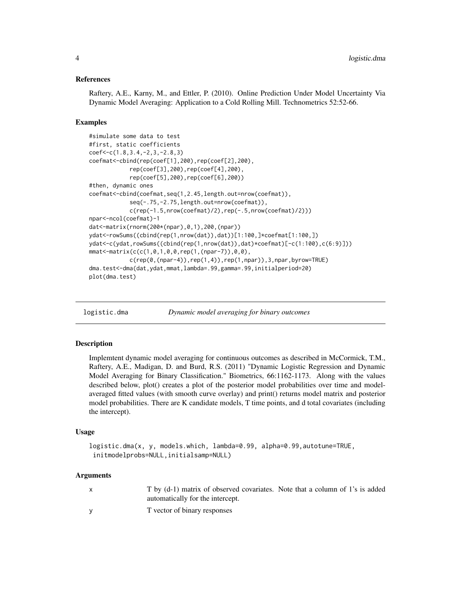#### <span id="page-3-0"></span>References

Raftery, A.E., Karny, M., and Ettler, P. (2010). Online Prediction Under Model Uncertainty Via Dynamic Model Averaging: Application to a Cold Rolling Mill. Technometrics 52:52-66.

#### Examples

```
#simulate some data to test
#first, static coefficients
coef<-c(1.8,3.4,-2,3,-2.8,3)
coefmat<-cbind(rep(coef[1],200),rep(coef[2],200),
            rep(coef[3],200),rep(coef[4],200),
            rep(coef[5],200),rep(coef[6],200))
#then, dynamic ones
coefmat<-cbind(coefmat,seq(1,2.45,length.out=nrow(coefmat)),
            seq(-.75,-2.75,length.out=nrow(coefmat)),
            c(rep(-1.5,nrow(coefmat)/2),rep(-.5,nrow(coefmat)/2)))
npar<-ncol(coefmat)-1
dat<-matrix(rnorm(200*(npar),0,1),200,(npar))
ydat<-rowSums((cbind(rep(1,nrow(dat)),dat))[1:100,]*coefmat[1:100,])
ydat<-c(ydat,rowSums((cbind(rep(1,nrow(dat)),dat)*coefmat)[-c(1:100),c(6:9)]))
mmat<-matrix(c(c(1,0,1,0,0,rep(1,(npar-7)),0,0),
            c(rep(\theta,(npar-4)),rep(1,4)), rep(1,npar)), 3, npar, byrow=TRUE)
dma.test<-dma(dat,ydat,mmat,lambda=.99,gamma=.99,initialperiod=20)
plot(dma.test)
```
logistic.dma *Dynamic model averaging for binary outcomes*

#### Description

Implemtent dynamic model averaging for continuous outcomes as described in McCormick, T.M., Raftery, A.E., Madigan, D. and Burd, R.S. (2011) "Dynamic Logistic Regression and Dynamic Model Averaging for Binary Classification." Biometrics, 66:1162-1173. Along with the values described below, plot() creates a plot of the posterior model probabilities over time and modelaveraged fitted values (with smooth curve overlay) and print() returns model matrix and posterior model probabilities. There are K candidate models, T time points, and d total covariates (including the intercept).

#### Usage

```
logistic.dma(x, y, models.which, lambda=0.99, alpha=0.99,autotune=TRUE,
initmodelprobs=NULL,initialsamp=NULL)
```
#### Arguments

| T by (d-1) matrix of observed covariates. Note that a column of 1's is added |  |
|------------------------------------------------------------------------------|--|
| automatically for the intercept.                                             |  |
| T vector of binary responses                                                 |  |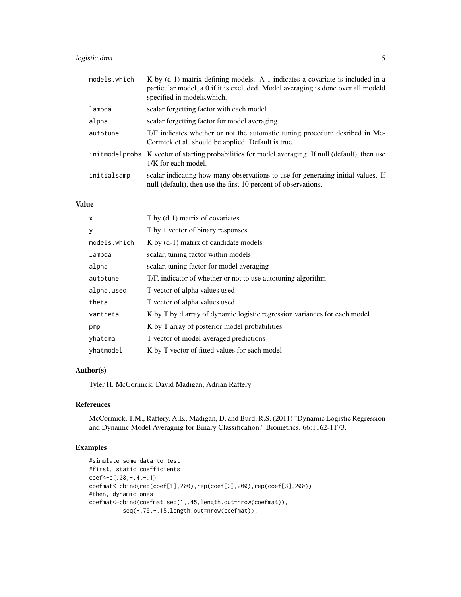## logistic.dma 5

| models.which | K by (d-1) matrix defining models. A 1 indicates a covariate is included in a<br>particular model, a 0 if it is excluded. Model averaging is done over all modeld<br>specified in models which. |
|--------------|-------------------------------------------------------------------------------------------------------------------------------------------------------------------------------------------------|
| lambda       | scalar forgetting factor with each model                                                                                                                                                        |
| alpha        | scalar forgetting factor for model averaging                                                                                                                                                    |
| autotune     | T/F indicates whether or not the automatic tuning procedure desribed in Mc-<br>Cormick et al. should be applied. Default is true.                                                               |
|              | init model probs K vector of starting probabilities for model averaging. If null (default), then use<br>1/K for each model.                                                                     |
| initialsamp  | scalar indicating how many observations to use for generating initial values. If<br>null (default), then use the first 10 percent of observations.                                              |

### Value

| X            | T by (d-1) matrix of covariates                                           |
|--------------|---------------------------------------------------------------------------|
| y            | T by 1 vector of binary responses                                         |
| models.which | K by $(d-1)$ matrix of candidate models                                   |
| lambda       | scalar, tuning factor within models                                       |
| alpha        | scalar, tuning factor for model averaging                                 |
| autotune     | T/F, indicator of whether or not to use autotuning algorithm              |
| alpha.used   | T vector of alpha values used                                             |
| theta        | T vector of alpha values used                                             |
| vartheta     | K by T by d array of dynamic logistic regression variances for each model |
| pmp          | K by T array of posterior model probabilities                             |
| yhatdma      | T vector of model-averaged predictions                                    |
| yhatmodel    | K by T vector of fitted values for each model                             |

## Author(s)

Tyler H. McCormick, David Madigan, Adrian Raftery

# References

McCormick, T.M., Raftery, A.E., Madigan, D. and Burd, R.S. (2011) "Dynamic Logistic Regression and Dynamic Model Averaging for Binary Classification." Biometrics, 66:1162-1173.

# Examples

```
#simulate some data to test
#first, static coefficients
coef<-c(.08,-.4,-.1)
coefmat<-cbind(rep(coef[1],200),rep(coef[2],200),rep(coef[3],200))
#then, dynamic ones
coefmat<-cbind(coefmat,seq(1,.45,length.out=nrow(coefmat)),
         seq(-.75,-.15,length.out=nrow(coefmat)),
```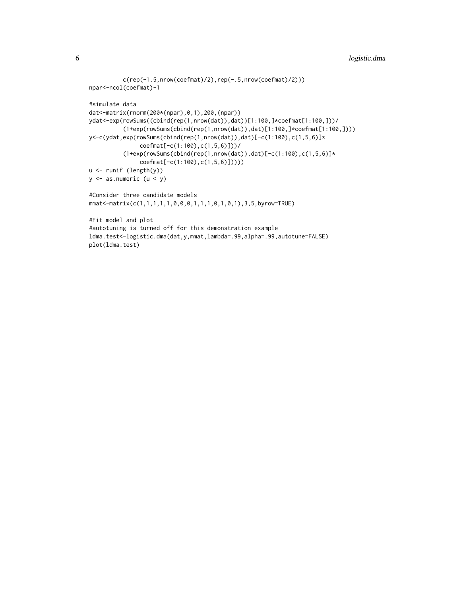```
c(rep(-1.5,nrow(coefmat)/2),rep(-.5,nrow(coefmat)/2)))npar<-ncol(coefmat)-1
#simulate data
dat<-matrix(rnorm(200*(npar),0,1),200,(npar))
ydat<-exp(rowSums((cbind(rep(1,nrow(dat)),dat))[1:100,]*coefmat[1:100,]))/
          (1+exp(rowSums(cbind(rep(1,nrow(dat)),dat)[1:100,]*coefmat[1:100,])))
y<-c(ydat,exp(rowSums(cbind(rep(1,nrow(dat)),dat)[-c(1:100),c(1,5,6)]*
               coefmat[-c(1:100),c(1,5,6)]))/
          (1+exp(rowSums(cbind(rep(1,nrow(data)),dat)[-c(1:100),c(1,5,6)]*coefmat[-c(1:100),c(1,5,6)]))))
u <- runif (length(y))
y \le - as.numeric (u \le y)
#Consider three candidate models
mmat<-matrix(c(1,1,1,1,1,0,0,0,1,1,1,0,1,0,1),3,5,byrow=TRUE)
#Fit model and plot
#autotuning is turned off for this demonstration example
ldma.test<-logistic.dma(dat,y,mmat,lambda=.99,alpha=.99,autotune=FALSE)
plot(ldma.test)
```